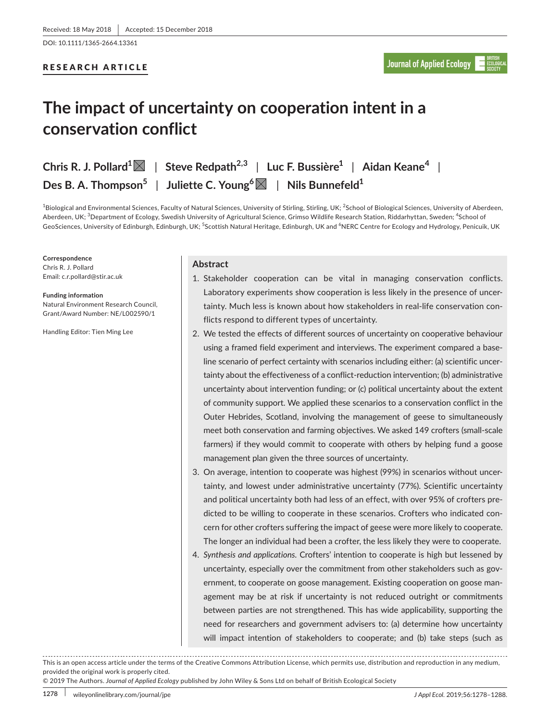DOI: 10.1111/1365-2664.13361

## RESEARCH ARTICLE

# **The impact of uncertainty on cooperation intent in a conservation conflict**

**Chris R. J.** Pollard<sup>[1](https://orcid.org/0000-0003-1278-6891)</sup> $\boxtimes$  | Steve Redpath<sup>2,3</sup> | Luc F. Bussière<sup>1</sup> | Aidan Keane<sup>4</sup> | **Des B. A. Thompson**<sup>5</sup> | Juliette C. Young<sup>6</sup> $\boxtimes$  | Nils Bunnefeld<sup>1</sup>

<sup>1</sup>Biological and Environmental Sciences, Faculty of Natural Sciences, University of Stirling, Stirling, UK; <sup>2</sup>School of Biological Sciences, University of Aberdeen, Aberdeen, UK; <sup>3</sup>Department of Ecology, Swedish University of Agricultural Science, Grimso Wildlife Research Station, Riddarhyttan, Sweden; <sup>4</sup>School of GeoSciences, University of Edinburgh, Edinburgh, UK; <sup>5</sup>Scottish Natural Heritage, Edinburgh, UK and <sup>6</sup>NERC Centre for Ecology and Hydrology, Penicuik, UK

**Correspondence** Chris R. J. Pollard Email: [c.r.pollard@stir.ac.uk](mailto:c.r.pollard@stir.ac.uk)

**Funding information** Natural Environment Research Council, Grant/Award Number: NE/L002590/1

Handling Editor: Tien Ming Lee

## **Abstract**

- 1. Stakeholder cooperation can be vital in managing conservation conflicts. Laboratory experiments show cooperation is less likely in the presence of uncertainty. Much less is known about how stakeholders in real-life conservation conflicts respond to different types of uncertainty.
- 2. We tested the effects of different sources of uncertainty on cooperative behaviour using a framed field experiment and interviews. The experiment compared a baseline scenario of perfect certainty with scenarios including either: (a) scientific uncertainty about the effectiveness of a conflict-reduction intervention; (b) administrative uncertainty about intervention funding; or (c) political uncertainty about the extent of community support. We applied these scenarios to a conservation conflict in the Outer Hebrides, Scotland, involving the management of geese to simultaneously meet both conservation and farming objectives. We asked 149 crofters (small-scale farmers) if they would commit to cooperate with others by helping fund a goose management plan given the three sources of uncertainty.
- 3. On average, intention to cooperate was highest (99%) in scenarios without uncertainty, and lowest under administrative uncertainty (77%). Scientific uncertainty and political uncertainty both had less of an effect, with over 95% of crofters predicted to be willing to cooperate in these scenarios. Crofters who indicated concern for other crofters suffering the impact of geese were more likely to cooperate. The longer an individual had been a crofter, the less likely they were to cooperate.
- 4. *Synthesis and applications.* Crofters' intention to cooperate is high but lessened by uncertainty, especially over the commitment from other stakeholders such as government, to cooperate on goose management. Existing cooperation on goose management may be at risk if uncertainty is not reduced outright or commitments between parties are not strengthened. This has wide applicability, supporting the need for researchers and government advisers to: (a) determine how uncertainty will impact intention of stakeholders to cooperate; and (b) take steps (such as

This is an open access article under the terms of the [Creative Commons Attribution](http://creativecommons.org/licenses/by/4.0/) License, which permits use, distribution and reproduction in any medium, provided the original work is properly cited.

© 2019 The Authors. *Journal of Applied Ecology* published by John Wiley & Sons Ltd on behalf of British Ecological Society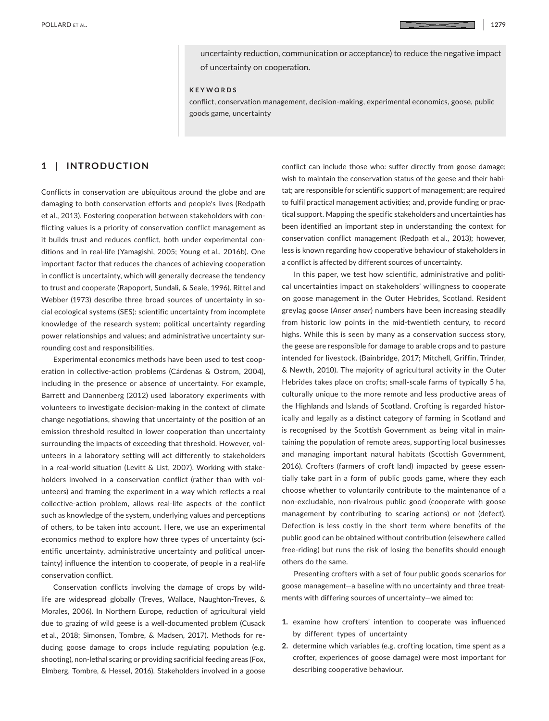uncertainty reduction, communication or acceptance) to reduce the negative impact of uncertainty on cooperation.

#### **KEYWORDS**

conflict, conservation management, decision-making, experimental economics, goose, public goods game, uncertainty

## **1** | **INTRODUCTION**

Conflicts in conservation are ubiquitous around the globe and are damaging to both conservation efforts and people's lives (Redpath et al., 2013). Fostering cooperation between stakeholders with conflicting values is a priority of conservation conflict management as it builds trust and reduces conflict, both under experimental conditions and in real-life (Yamagishi, 2005; Young et al., 2016b). One important factor that reduces the chances of achieving cooperation in conflict is uncertainty, which will generally decrease the tendency to trust and cooperate (Rapoport, Sundali, & Seale, 1996). Rittel and Webber (1973) describe three broad sources of uncertainty in social ecological systems (SES): scientific uncertainty from incomplete knowledge of the research system; political uncertainty regarding power relationships and values; and administrative uncertainty surrounding cost and responsibilities.

Experimental economics methods have been used to test cooperation in collective-action problems (Cárdenas & Ostrom, 2004), including in the presence or absence of uncertainty. For example, Barrett and Dannenberg (2012) used laboratory experiments with volunteers to investigate decision-making in the context of climate change negotiations, showing that uncertainty of the position of an emission threshold resulted in lower cooperation than uncertainty surrounding the impacts of exceeding that threshold. However, volunteers in a laboratory setting will act differently to stakeholders in a real-world situation (Levitt & List, 2007). Working with stakeholders involved in a conservation conflict (rather than with volunteers) and framing the experiment in a way which reflects a real collective-action problem, allows real-life aspects of the conflict such as knowledge of the system, underlying values and perceptions of others, to be taken into account. Here, we use an experimental economics method to explore how three types of uncertainty (scientific uncertainty, administrative uncertainty and political uncertainty) influence the intention to cooperate, of people in a real-life conservation conflict.

Conservation conflicts involving the damage of crops by wildlife are widespread globally (Treves, Wallace, Naughton-Treves, & Morales, 2006). In Northern Europe, reduction of agricultural yield due to grazing of wild geese is a well-documented problem (Cusack et al., 2018; Simonsen, Tombre, & Madsen, 2017). Methods for reducing goose damage to crops include regulating population (e.g. shooting), non-lethal scaring or providing sacrificial feeding areas (Fox, Elmberg, Tombre, & Hessel, 2016). Stakeholders involved in a goose

conflict can include those who: suffer directly from goose damage; wish to maintain the conservation status of the geese and their habitat; are responsible for scientific support of management; are required to fulfil practical management activities; and, provide funding or practical support. Mapping the specific stakeholders and uncertainties has been identified an important step in understanding the context for conservation conflict management (Redpath et al., 2013); however, less is known regarding how cooperative behaviour of stakeholders in a conflict is affected by different sources of uncertainty.

In this paper, we test how scientific, administrative and political uncertainties impact on stakeholders' willingness to cooperate on goose management in the Outer Hebrides, Scotland. Resident greylag goose (*Anser anser*) numbers have been increasing steadily from historic low points in the mid-twentieth century, to record highs. While this is seen by many as a conservation success story, the geese are responsible for damage to arable crops and to pasture intended for livestock. (Bainbridge, 2017; Mitchell, Griffin, Trinder, & Newth, 2010). The majority of agricultural activity in the Outer Hebrides takes place on crofts; small-scale farms of typically 5 ha, culturally unique to the more remote and less productive areas of the Highlands and Islands of Scotland. Crofting is regarded historically and legally as a distinct category of farming in Scotland and is recognised by the Scottish Government as being vital in maintaining the population of remote areas, supporting local businesses and managing important natural habitats (Scottish Government, 2016). Crofters (farmers of croft land) impacted by geese essentially take part in a form of public goods game, where they each choose whether to voluntarily contribute to the maintenance of a non-excludable, non-rivalrous public good (cooperate with goose management by contributing to scaring actions) or not (defect). Defection is less costly in the short term where benefits of the public good can be obtained without contribution (elsewhere called free-riding) but runs the risk of losing the benefits should enough others do the same.

Presenting crofters with a set of four public goods scenarios for goose management—a baseline with no uncertainty and three treatments with differing sources of uncertainty—we aimed to:

- **1.** examine how crofters' intention to cooperate was influenced by different types of uncertainty
- **2.** determine which variables (e.g. crofting location, time spent as a crofter, experiences of goose damage) were most important for describing cooperative behaviour.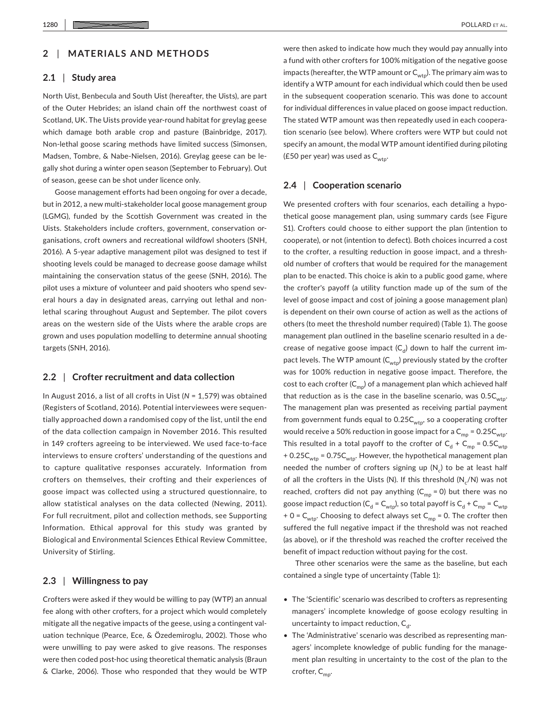#### **2** | **MATERIALS AND METHODS**

## **2.1** | **Study area**

North Uist, Benbecula and South Uist (hereafter, the Uists), are part of the Outer Hebrides; an island chain off the northwest coast of Scotland, UK. The Uists provide year-round habitat for greylag geese which damage both arable crop and pasture (Bainbridge, 2017). Non-lethal goose scaring methods have limited success (Simonsen, Madsen, Tombre, & Nabe-Nielsen, 2016). Greylag geese can be legally shot during a winter open season (September to February). Out of season, geese can be shot under licence only.

Goose management efforts had been ongoing for over a decade, but in 2012, a new multi-stakeholder local goose management group (LGMG), funded by the Scottish Government was created in the Uists. Stakeholders include crofters, government, conservation organisations, croft owners and recreational wildfowl shooters (SNH, 2016). A 5-year adaptive management pilot was designed to test if shooting levels could be managed to decrease goose damage whilst maintaining the conservation status of the geese (SNH, 2016). The pilot uses a mixture of volunteer and paid shooters who spend several hours a day in designated areas, carrying out lethal and nonlethal scaring throughout August and September. The pilot covers areas on the western side of the Uists where the arable crops are grown and uses population modelling to determine annual shooting targets (SNH, 2016).

## **2.2** | **Crofter recruitment and data collection**

In August 2016, a list of all crofts in Uist (*N* = 1,579) was obtained (Registers of Scotland, 2016). Potential interviewees were sequentially approached down a randomised copy of the list, until the end of the data collection campaign in November 2016. This resulted in 149 crofters agreeing to be interviewed. We used face-to-face interviews to ensure crofters' understanding of the questions and to capture qualitative responses accurately. Information from crofters on themselves, their crofting and their experiences of goose impact was collected using a structured questionnaire, to allow statistical analyses on the data collected (Newing, 2011). For full recruitment, pilot and collection methods, see Supporting Information. Ethical approval for this study was granted by Biological and Environmental Sciences Ethical Review Committee, University of Stirling.

## **2.3** | **Willingness to pay**

Crofters were asked if they would be willing to pay (WTP) an annual fee along with other crofters, for a project which would completely mitigate all the negative impacts of the geese, using a contingent valuation technique (Pearce, Ece, & Özedemiroglu, 2002). Those who were unwilling to pay were asked to give reasons. The responses were then coded post-hoc using theoretical thematic analysis (Braun & Clarke, 2006). Those who responded that they would be WTP

were then asked to indicate how much they would pay annually into a fund with other crofters for 100% mitigation of the negative goose impacts (hereafter, the WTP amount or  $C_{\text{wtp}}$ ). The primary aim was to identify a WTP amount for each individual which could then be used in the subsequent cooperation scenario. This was done to account for individual differences in value placed on goose impact reduction. The stated WTP amount was then repeatedly used in each cooperation scenario (see below). Where crofters were WTP but could not specify an amount, the modal WTP amount identified during piloting (£50 per year) was used as  $C_{\text{wtn}}$ .

## **2.4** | **Cooperation scenario**

We presented crofters with four scenarios, each detailing a hypothetical goose management plan, using summary cards (see Figure S1). Crofters could choose to either support the plan (intention to cooperate), or not (intention to defect). Both choices incurred a cost to the crofter, a resulting reduction in goose impact, and a threshold number of crofters that would be required for the management plan to be enacted. This choice is akin to a public good game, where the crofter's payoff (a utility function made up of the sum of the level of goose impact and cost of joining a goose management plan) is dependent on their own course of action as well as the actions of others (to meet the threshold number required) (Table 1). The goose management plan outlined in the baseline scenario resulted in a decrease of negative goose impact  $(C_{d})$  down to half the current impact levels. The WTP amount  $(C_{\text{wtp}})$  previously stated by the crofter was for 100% reduction in negative goose impact. Therefore, the cost to each crofter  $(C_{mn})$  of a management plan which achieved half that reduction as is the case in the baseline scenario, was  $0.5C_{wtp}$ . The management plan was presented as receiving partial payment from government funds equal to  $0.25C<sub>wto</sub>$ , so a cooperating crofter would receive a 50% reduction in goose impact for a  $C_{\text{mp}}$  = 0.25 $C_{\text{wto}}$ . This resulted in a total payoff to the crofter of  $C_d + C_{mp} = 0.5C_{wtp}$ + 0.25 $C_{wtp}$  = 0.75 $C_{wtp}$ . However, the hypothetical management plan needed the number of crofters signing up  $(N_c)$  to be at least half of all the crofters in the Uists (N). If this threshold (N<sub>c</sub>/N) was not reached, crofters did not pay anything  $(C_{mn} = 0)$  but there was no goose impact reduction ( $C_d = C_{wtp}$ ), so total payoff is  $C_d + C_{mp} = C_{wtp}$ + 0 =  $C_{wto}$ . Choosing to defect always set  $C_{mp}$  = 0. The crofter then suffered the full negative impact if the threshold was not reached (as above), or if the threshold was reached the crofter received the benefit of impact reduction without paying for the cost.

Three other scenarios were the same as the baseline, but each contained a single type of uncertainty (Table 1):

- The 'Scientific' scenario was described to crofters as representing managers' incomplete knowledge of goose ecology resulting in uncertainty to impact reduction,  $C_d$ .
- The 'Administrative' scenario was described as representing managers' incomplete knowledge of public funding for the management plan resulting in uncertainty to the cost of the plan to the crofter,  $C_{\text{mn}}$ .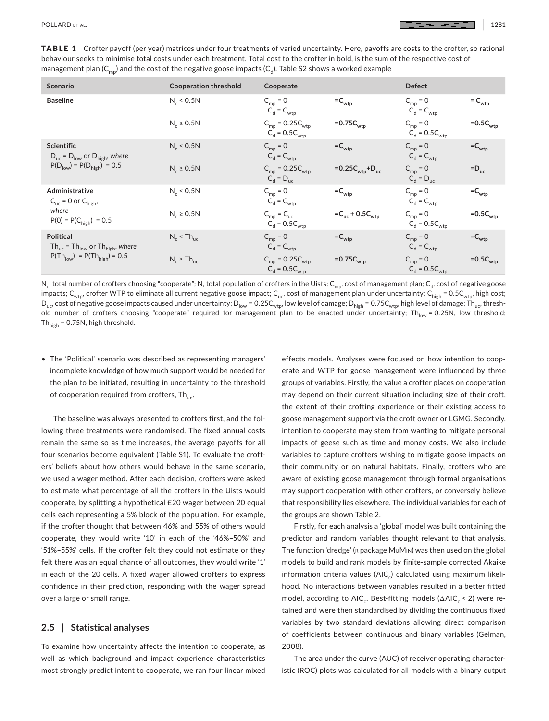TABLE 1 Crofter payoff (per year) matrices under four treatments of varied uncertainty. Here, payoffs are costs to the crofter, so rational behaviour seeks to minimise total costs under each treatment. Total cost to the crofter in bold, is the sum of the respective cost of management plan  $(C_{mn})$  and the cost of the negative goose impacts  $(C_a)$ . Table S2 shows a worked example

| <b>Baseline</b><br>$N_c < 0.5N$<br>$=C_{\rm wtp}$<br>$=\mathsf{C}_{\mathsf{wtp}}$<br>$C_{mp} = 0$<br>$C_{mp} = 0$<br>$C_d = C_{wtp}$<br>$C_d = C_{wtp}$<br>$C_{mp} = 0.25 C_{wtp}$<br>$N_c \geq 0.5N$<br>$=0.75C_{\rm wtp}$<br>$=0.5C_{\rm wtp}$<br>$C_{mp} = 0$<br>$C_d = 0.5 C_{wtp}$<br>$C_d = 0.5 C_{wtp}$<br>$N_c < 0.5N$<br><b>Scientific</b><br>$=C_{\text{wtp}}$<br>$=C_{\text{wtp}}$<br>$C_{mp} = 0$<br>$C_{mp} = 0$<br>$\mathsf{D}_{\mathsf{uc}}$ = $\mathsf{D}_{\mathsf{low}}$ or $\mathsf{D}_{\mathsf{high}},$ where<br>$C_d = C_{wtp}$<br>$C_d = C_{wtp}$<br>$\textsf{P}(\textsf{D}_{\mathsf{low}}) = \textsf{P}(\textsf{D}_{\mathsf{high}}) \; = 0.5$<br>$C_{mp} = 0.25 C_{wtp}$<br>$=0.25C_{\rm wtp}+D_{\rm uc}$<br>$N_c \geq 0.5N$<br>$= D_{\text{uc}}$<br>$C_{mp} = 0$<br>$C_d = D_{uc}$<br>$C_d = D_{uc}$<br>$N_c < 0.5N$<br>Administrative<br>$=C_{\rm wtp}$<br>$C_{mp} = 0$<br>$=C_{\rm wtp}$<br>$C_{mp} = 0$<br>$C_{uc}$ = 0 or $C_{high}$ ,<br>$C_d = C_{wtp}$<br>$C_d = C_{wtp}$<br>where<br>$N_c \geq 0.5N$<br>$=C_{\text{uc}} + 0.5C_{\text{wtp}}$<br>$=0.5C_{\rm wtp}$<br>$C_{mp} = 0$<br>$C_{mp} = C_{uc}$<br>$P(0) = P(C_{\text{high}}) = 0.5$<br>$C_d = 0.5C_{wtp}$<br>$C_d = 0.5 C_{wtp}$<br><b>Political</b><br>$N_c$ < Th <sub>uc</sub><br>$C_{mp} = 0$<br>$=C_{\text{wtp}}$<br>$C_{mp} = 0$<br>$=C_{\text{wtp}}$<br>$Th_{uc} = Th_{low}$ or $Th_{high}$ , where<br>$C_d = C_{wtp}$<br>$C_d = C_{wtp}$<br>$P(Th_{low}) = P(Th_{high}) = 0.5$<br>$N_c \ge Th_{uc}$<br>$C_{mp} = 0.25 C_{wtp}$<br>$=0.75C_{\text{wtp}}$<br>$C_{mp} = 0$<br>$=0.5C_{\text{wtp}}$ | Scenario | <b>Cooperation threshold</b> | Cooperate          | <b>Defect</b>      |  |
|-----------------------------------------------------------------------------------------------------------------------------------------------------------------------------------------------------------------------------------------------------------------------------------------------------------------------------------------------------------------------------------------------------------------------------------------------------------------------------------------------------------------------------------------------------------------------------------------------------------------------------------------------------------------------------------------------------------------------------------------------------------------------------------------------------------------------------------------------------------------------------------------------------------------------------------------------------------------------------------------------------------------------------------------------------------------------------------------------------------------------------------------------------------------------------------------------------------------------------------------------------------------------------------------------------------------------------------------------------------------------------------------------------------------------------------------------------------------------------------------------------------------------------------------------------------------------------------------------|----------|------------------------------|--------------------|--------------------|--|
|                                                                                                                                                                                                                                                                                                                                                                                                                                                                                                                                                                                                                                                                                                                                                                                                                                                                                                                                                                                                                                                                                                                                                                                                                                                                                                                                                                                                                                                                                                                                                                                               |          |                              |                    |                    |  |
|                                                                                                                                                                                                                                                                                                                                                                                                                                                                                                                                                                                                                                                                                                                                                                                                                                                                                                                                                                                                                                                                                                                                                                                                                                                                                                                                                                                                                                                                                                                                                                                               |          |                              |                    |                    |  |
|                                                                                                                                                                                                                                                                                                                                                                                                                                                                                                                                                                                                                                                                                                                                                                                                                                                                                                                                                                                                                                                                                                                                                                                                                                                                                                                                                                                                                                                                                                                                                                                               |          |                              |                    |                    |  |
|                                                                                                                                                                                                                                                                                                                                                                                                                                                                                                                                                                                                                                                                                                                                                                                                                                                                                                                                                                                                                                                                                                                                                                                                                                                                                                                                                                                                                                                                                                                                                                                               |          |                              |                    |                    |  |
|                                                                                                                                                                                                                                                                                                                                                                                                                                                                                                                                                                                                                                                                                                                                                                                                                                                                                                                                                                                                                                                                                                                                                                                                                                                                                                                                                                                                                                                                                                                                                                                               |          |                              |                    |                    |  |
|                                                                                                                                                                                                                                                                                                                                                                                                                                                                                                                                                                                                                                                                                                                                                                                                                                                                                                                                                                                                                                                                                                                                                                                                                                                                                                                                                                                                                                                                                                                                                                                               |          |                              |                    |                    |  |
|                                                                                                                                                                                                                                                                                                                                                                                                                                                                                                                                                                                                                                                                                                                                                                                                                                                                                                                                                                                                                                                                                                                                                                                                                                                                                                                                                                                                                                                                                                                                                                                               |          |                              |                    |                    |  |
|                                                                                                                                                                                                                                                                                                                                                                                                                                                                                                                                                                                                                                                                                                                                                                                                                                                                                                                                                                                                                                                                                                                                                                                                                                                                                                                                                                                                                                                                                                                                                                                               |          |                              | $C_d = 0.5C_{wtp}$ | $C_d = 0.5C_{wtp}$ |  |

 $N_c$ , total number of crofters choosing "cooperate"; N, total population of crofters in the Uists; C<sub>mp</sub>, cost of management plan; C<sub>d</sub>, cost of negative goose impacts;  $C_{wtp}$ , crofter WTP to eliminate all current negative goose impact;  $C_{uc}$ , cost of management plan under uncertainty;  $C_{high} = 0.5C_{wtp}$ , high cost;  $D_{uc}$ , cost of negative goose impacts caused under uncertainty;  $D_{low}$  = 0.25C<sub>wtp</sub>, low level of damage;  $D_{high}$  = 0.75C<sub>wtp</sub>, high level of damage;  $D_{high}$  threshold number of crofters choosing "cooperate" required for management plan to be enacted under uncertainty; Th<sub>low</sub> = 0.25N, low threshold; Th $_{\text{high}}$  = 0.75N, high threshold.

• The 'Political' scenario was described as representing managers' incomplete knowledge of how much support would be needed for the plan to be initiated, resulting in uncertainty to the threshold of cooperation required from crofters, Thuc.

The baseline was always presented to crofters first, and the following three treatments were randomised. The fixed annual costs remain the same so as time increases, the average payoffs for all four scenarios become equivalent (Table S1). To evaluate the crofters' beliefs about how others would behave in the same scenario, we used a wager method. After each decision, crofters were asked to estimate what percentage of all the crofters in the Uists would cooperate, by splitting a hypothetical £20 wager between 20 equal cells each representing a 5% block of the population. For example, if the crofter thought that between 46% and 55% of others would cooperate, they would write '10' in each of the '46%–50%' and '51%–55%' cells. If the crofter felt they could not estimate or they felt there was an equal chance of all outcomes, they would write '1' in each of the 20 cells. A fixed wager allowed crofters to express confidence in their prediction, responding with the wager spread over a large or small range.

#### **2.5** | **Statistical analyses**

To examine how uncertainty affects the intention to cooperate, as well as which background and impact experience characteristics most strongly predict intent to cooperate, we ran four linear mixed

effects models. Analyses were focused on how intention to cooperate and WTP for goose management were influenced by three groups of variables. Firstly, the value a crofter places on cooperation may depend on their current situation including size of their croft, the extent of their crofting experience or their existing access to goose management support via the croft owner or LGMG. Secondly, intention to cooperate may stem from wanting to mitigate personal impacts of geese such as time and money costs. We also include variables to capture crofters wishing to mitigate goose impacts on their community or on natural habitats. Finally, crofters who are aware of existing goose management through formal organisations may support cooperation with other crofters, or conversely believe that responsibility lies elsewhere. The individual variables for each of the groups are shown Table 2.

Firstly, for each analysis a 'global' model was built containing the predictor and random variables thought relevant to that analysis. The function 'dredge' (R package MuMIN) was then used on the global models to build and rank models by finite-sample corrected Akaike information criteria values (AIC<sub>.</sub>) calculated using maximum likelihood. No interactions between variables resulted in a better fitted model, according to AIC<sub>c</sub>. Best-fitting models ( $\Delta AIC_c$  < 2) were retained and were then standardised by dividing the continuous fixed variables by two standard deviations allowing direct comparison of coefficients between continuous and binary variables (Gelman, 2008).

The area under the curve (AUC) of receiver operating characteristic (ROC) plots was calculated for all models with a binary output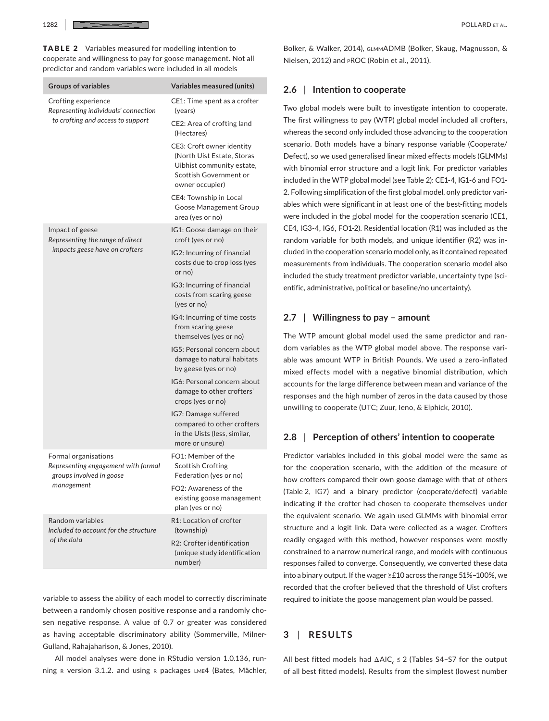TABLE 2 Variables measured for modelling intention to cooperate and willingness to pay for goose management. Not all predictor and random variables were included in all models

| <b>Groups of variables</b>                                                              | Variables measured (units)                                                                                                        |  |  |
|-----------------------------------------------------------------------------------------|-----------------------------------------------------------------------------------------------------------------------------------|--|--|
| Crofting experience<br>Representing individuals' connection                             | CE1: Time spent as a crofter<br>(years)                                                                                           |  |  |
| to crofting and access to support                                                       | CE2: Area of crofting land<br>(Hectares)                                                                                          |  |  |
|                                                                                         | CE3: Croft owner identity<br>(North Uist Estate, Storas<br>Uibhist community estate,<br>Scottish Government or<br>owner occupier) |  |  |
|                                                                                         | CE4: Township in Local<br>Goose Management Group<br>area (yes or no)                                                              |  |  |
| Impact of geese<br>Representing the range of direct                                     | IG1: Goose damage on their<br>croft (yes or no)                                                                                   |  |  |
| impacts geese have on crofters                                                          | IG2: Incurring of financial<br>costs due to crop loss (yes<br>or no)                                                              |  |  |
|                                                                                         | IG3: Incurring of financial<br>costs from scaring geese<br>(yes or no)                                                            |  |  |
|                                                                                         | IG4: Incurring of time costs<br>from scaring geese<br>themselves (yes or no)                                                      |  |  |
|                                                                                         | IG5: Personal concern about<br>damage to natural habitats<br>by geese (yes or no)                                                 |  |  |
|                                                                                         | IG6: Personal concern about<br>damage to other crofters'<br>crops (yes or no)                                                     |  |  |
|                                                                                         | IG7: Damage suffered<br>compared to other crofters<br>in the Uists (less, similar,<br>more or unsure)                             |  |  |
| Formal organisations<br>Representing engagement with formal<br>groups involved in goose | FO1: Member of the<br><b>Scottish Crofting</b><br>Federation (yes or no)                                                          |  |  |
| management                                                                              | FO2: Awareness of the<br>existing goose management<br>plan (yes or no)                                                            |  |  |
| Random variables<br>Included to account for the structure                               | R1: Location of crofter<br>(township)                                                                                             |  |  |
| of the data                                                                             | R2: Crofter identification<br>(unique study identification<br>number)                                                             |  |  |

variable to assess the ability of each model to correctly discriminate between a randomly chosen positive response and a randomly chosen negative response. A value of 0.7 or greater was considered as having acceptable discriminatory ability (Sommerville, Milner-Gulland, Rahajaharison, & Jones, 2010).

All model analyses were done in RStudio version 1.0.136, running R version 3.1.2. and using R packages LME4 (Bates, Mächler, Bolker, & Walker, 2014), glmmADMB (Bolker, Skaug, Magnusson, & Nielsen, 2012) and pROC (Robin et al., 2011).

#### **2.6** | **Intention to cooperate**

Two global models were built to investigate intention to cooperate. The first willingness to pay (WTP) global model included all crofters, whereas the second only included those advancing to the cooperation scenario. Both models have a binary response variable (Cooperate/ Defect), so we used generalised linear mixed effects models (GLMMs) with binomial error structure and a logit link. For predictor variables included in the WTP global model (see Table 2): CE1-4, IG1-6 and FO1- 2. Following simplification of the first global model, only predictor variables which were significant in at least one of the best-fitting models were included in the global model for the cooperation scenario (CE1, CE4, IG3-4, IG6, FO1-2). Residential location (R1) was included as the random variable for both models, and unique identifier (R2) was included in the cooperation scenario model only, as it contained repeated measurements from individuals. The cooperation scenario model also included the study treatment predictor variable, uncertainty type (scientific, administrative, political or baseline/no uncertainty).

## **2.7** | **Willingness to pay – amount**

The WTP amount global model used the same predictor and random variables as the WTP global model above. The response variable was amount WTP in British Pounds. We used a zero-inflated mixed effects model with a negative binomial distribution, which accounts for the large difference between mean and variance of the responses and the high number of zeros in the data caused by those unwilling to cooperate (UTC; Zuur, Ieno, & Elphick, 2010).

## **2.8** | **Perception of others' intention to cooperate**

Predictor variables included in this global model were the same as for the cooperation scenario, with the addition of the measure of how crofters compared their own goose damage with that of others (Table 2, IG7) and a binary predictor (cooperate/defect) variable indicating if the crofter had chosen to cooperate themselves under the equivalent scenario. We again used GLMMs with binomial error structure and a logit link. Data were collected as a wager. Crofters readily engaged with this method, however responses were mostly constrained to a narrow numerical range, and models with continuous responses failed to converge. Consequently, we converted these data into a binary output. If the wager ≥£10 across the range 51%–100%, we recorded that the crofter believed that the threshold of Uist crofters required to initiate the goose management plan would be passed.

## **3** | **RESULTS**

All best fitted models had  $\Delta AIC_c \leq 2$  (Tables S4-S7 for the output of all best fitted models). Results from the simplest (lowest number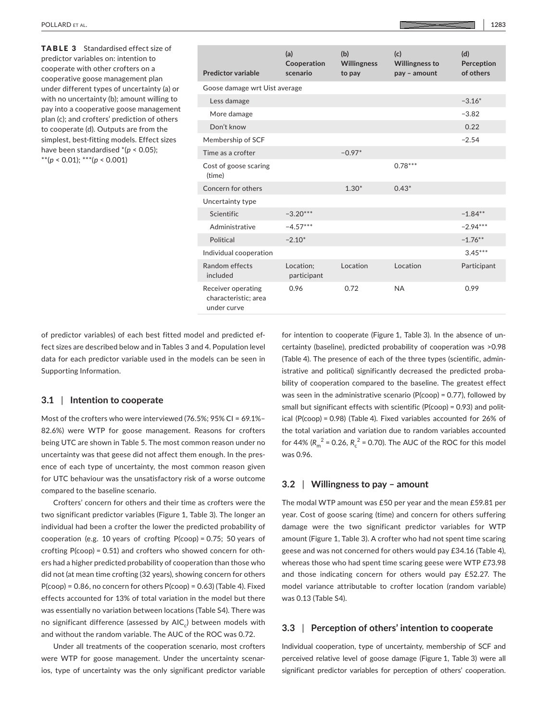TABLE 3 Standardised effect size of predictor variables on: intention to cooperate with other crofters on a cooperative goose management plan under different types of uncertainty (a) or with no uncertainty (b); amount willing to pay into a cooperative goose management plan (c); and crofters' prediction of others to cooperate (d). Outputs are from the simplest, best-fitting models. Effect sizes have been standardised \*(*p* < 0.05); \*\*(*p* < 0.01); \*\*\*(*p* < 0.001)

| <b>Predictor variable</b>                                 | (a)<br>Cooperation<br>scenario | (b)<br>Willingness<br>to pay | (c)<br><b>Willingness to</b><br>pay - amount | (d)<br>Perception<br>of others |
|-----------------------------------------------------------|--------------------------------|------------------------------|----------------------------------------------|--------------------------------|
| Goose damage wrt Uist average                             |                                |                              |                                              |                                |
| Less damage                                               |                                |                              |                                              | $-3.16*$                       |
| More damage                                               |                                |                              |                                              | $-3.82$                        |
| Don't know                                                |                                |                              |                                              | 0.22                           |
| Membership of SCF                                         |                                |                              |                                              | $-2.54$                        |
| Time as a crofter                                         |                                | $-0.97*$                     |                                              |                                |
| Cost of goose scaring<br>(time)                           |                                |                              | $0.78***$                                    |                                |
| Concern for others                                        |                                | $1.30*$                      | $0.43*$                                      |                                |
| Uncertainty type                                          |                                |                              |                                              |                                |
| Scientific                                                | $-3.20***$                     |                              |                                              | $-1.84**$                      |
| Administrative                                            | $-4.57***$                     |                              |                                              | $-2.94***$                     |
| Political                                                 | $-2.10*$                       |                              |                                              | $-1.76***$                     |
| Individual cooperation                                    |                                |                              |                                              | $3.45***$                      |
| Random effects<br>included                                | Location;<br>participant       | Location                     | Location                                     | Participant                    |
| Receiver operating<br>characteristic; area<br>under curve | 0.96                           | 0.72                         | <b>NA</b>                                    | 0.99                           |

of predictor variables) of each best fitted model and predicted effect sizes are described below and in Tables 3 and 4. Population level data for each predictor variable used in the models can be seen in Supporting Information.

#### **3.1** | **Intention to cooperate**

Most of the crofters who were interviewed (76.5%; 95% CI = 69.1%– 82.6%) were WTP for goose management. Reasons for crofters being UTC are shown in Table 5. The most common reason under no uncertainty was that geese did not affect them enough. In the presence of each type of uncertainty, the most common reason given for UTC behaviour was the unsatisfactory risk of a worse outcome compared to the baseline scenario.

Crofters' concern for others and their time as crofters were the two significant predictor variables (Figure 1, Table 3). The longer an individual had been a crofter the lower the predicted probability of cooperation (e.g. 10 years of crofting P(coop) = 0.75; 50 years of crofting P(coop) = 0.51) and crofters who showed concern for others had a higher predicted probability of cooperation than those who did not (at mean time crofting (32 years), showing concern for others  $P$ (coop) = 0.86, no concern for others  $P$ (coop) = 0.63) (Table 4). Fixed effects accounted for 13% of total variation in the model but there was essentially no variation between locations (Table S4). There was no significant difference (assessed by AIC<sub>c</sub>) between models with and without the random variable. The AUC of the ROC was 0.72.

Under all treatments of the cooperation scenario, most crofters were WTP for goose management. Under the uncertainty scenarios, type of uncertainty was the only significant predictor variable

for intention to cooperate (Figure 1, Table 3). In the absence of uncertainty (baseline), predicted probability of cooperation was >0.98 (Table 4). The presence of each of the three types (scientific, administrative and political) significantly decreased the predicted probability of cooperation compared to the baseline. The greatest effect was seen in the administrative scenario (P(coop) = 0.77), followed by small but significant effects with scientific (P(coop) = 0.93) and political (P(coop) = 0.98) (Table 4). Fixed variables accounted for 26% of the total variation and variation due to random variables accounted for 44%  $(R_m^2 = 0.26, R_c^2 = 0.70)$ . The AUC of the ROC for this model was 0.96.

## **3.2** | **Willingness to pay – amount**

The modal WTP amount was £50 per year and the mean £59.81 per year. Cost of goose scaring (time) and concern for others suffering damage were the two significant predictor variables for WTP amount (Figure 1, Table 3). A crofter who had not spent time scaring geese and was not concerned for others would pay £34.16 (Table 4), whereas those who had spent time scaring geese were WTP £73.98 and those indicating concern for others would pay £52.27. The model variance attributable to crofter location (random variable) was 0.13 (Table S4).

# **3.3** | **Perception of others' intention to cooperate**

Individual cooperation, type of uncertainty, membership of SCF and perceived relative level of goose damage (Figure 1, Table 3) were all significant predictor variables for perception of others' cooperation.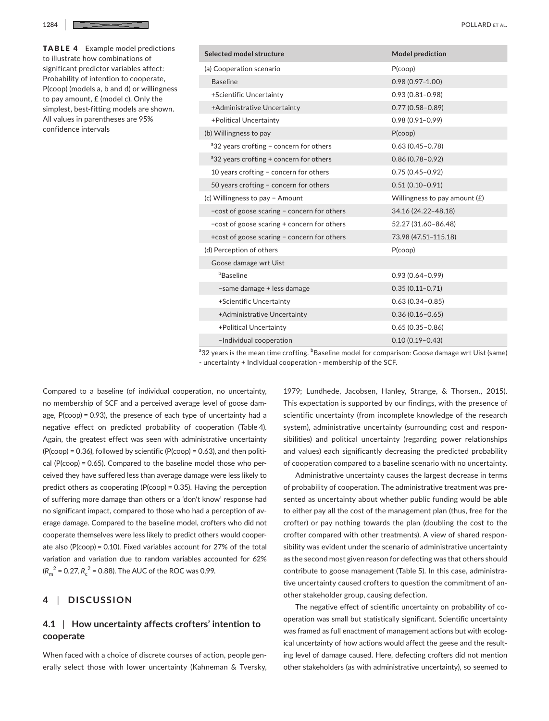TABLE 4 Example model predictions to illustrate how combinations of significant predictor variables affect: Probability of intention to cooperate, P(coop) (models a, b and d) or willingness to pay amount, £ (model c). Only the simplest, best-fitting models are shown. All values in parentheses are 95% confidence intervals

| Selected model structure                            | <b>Model prediction</b>         |
|-----------------------------------------------------|---------------------------------|
| (a) Cooperation scenario                            | $P$ (coop)                      |
| <b>Baseline</b>                                     | $0.98(0.97 - 1.00)$             |
| +Scientific Uncertainty                             | $0.93(0.81 - 0.98)$             |
| +Administrative Uncertainty                         | $0.77(0.58 - 0.89)$             |
| +Political Uncertainty                              | $0.98(0.91 - 0.99)$             |
| (b) Willingness to pay                              | $P$ (coop)                      |
| <sup>a</sup> 32 years crofting – concern for others | $0.63(0.45 - 0.78)$             |
| <sup>a</sup> 32 years crofting + concern for others | $0.86(0.78 - 0.92)$             |
| 10 years crofting $-$ concern for others            | $0.75(0.45 - 0.92)$             |
| 50 years crofting - concern for others              | $0.51(0.10 - 0.91)$             |
| (c) Willingness to pay - Amount                     | Willingness to pay amount $(E)$ |
| -cost of goose scaring - concern for others         | 34.16 (24.22-48.18)             |
| -cost of goose scaring + concern for others         | 52.27 (31.60-86.48)             |
| +cost of goose scaring - concern for others         | 73.98 (47.51-115.18)            |
| (d) Perception of others                            | $P$ (coop)                      |
| Goose damage wrt Uist                               |                                 |
| <b><i>b</i></b> Baseline                            | $0.93(0.64 - 0.99)$             |
| -same damage + less damage                          | $0.35(0.11 - 0.71)$             |
| +Scientific Uncertainty                             | $0.63(0.34 - 0.85)$             |
| +Administrative Uncertainty                         | $0.36(0.16 - 0.65)$             |
| +Political Uncertainty                              | $0.65(0.35 - 0.86)$             |
| -Individual cooperation                             | $0.10(0.19 - 0.43)$             |

<sup>a</sup>32 years is the mean time crofting. <sup>b</sup>Baseline model for comparison: Goose damage wrt Uist (same) - uncertainty + Individual cooperation - membership of the SCF.

Compared to a baseline (of individual cooperation, no uncertainty, no membership of SCF and a perceived average level of goose damage, P(coop) = 0.93), the presence of each type of uncertainty had a negative effect on predicted probability of cooperation (Table 4). Again, the greatest effect was seen with administrative uncertainty  $(P$ (coop) = 0.36), followed by scientific  $(P$ (coop) = 0.63), and then political  $(P$ (coop) = 0.65). Compared to the baseline model those who perceived they have suffered less than average damage were less likely to predict others as cooperating (P(coop) = 0.35). Having the perception of suffering more damage than others or a 'don't know' response had no significant impact, compared to those who had a perception of average damage. Compared to the baseline model, crofters who did not cooperate themselves were less likely to predict others would cooperate also (P(coop) = 0.10). Fixed variables account for 27% of the total variation and variation due to random variables accounted for 62%  $(R_m^2$  = 0.27,  $R_c^2$  = 0.88). The AUC of the ROC was 0.99.

# **4** | **DISCUSSION**

# **4.1** | **How uncertainty affects crofters' intention to cooperate**

When faced with a choice of discrete courses of action, people generally select those with lower uncertainty (Kahneman & Tversky, 1979; Lundhede, Jacobsen, Hanley, Strange, & Thorsen., 2015). This expectation is supported by our findings, with the presence of scientific uncertainty (from incomplete knowledge of the research system), administrative uncertainty (surrounding cost and responsibilities) and political uncertainty (regarding power relationships and values) each significantly decreasing the predicted probability of cooperation compared to a baseline scenario with no uncertainty.

Administrative uncertainty causes the largest decrease in terms of probability of cooperation. The administrative treatment was presented as uncertainty about whether public funding would be able to either pay all the cost of the management plan (thus, free for the crofter) or pay nothing towards the plan (doubling the cost to the crofter compared with other treatments). A view of shared responsibility was evident under the scenario of administrative uncertainty as the second most given reason for defecting was that others should contribute to goose management (Table 5). In this case, administrative uncertainty caused crofters to question the commitment of another stakeholder group, causing defection.

The negative effect of scientific uncertainty on probability of cooperation was small but statistically significant. Scientific uncertainty was framed as full enactment of management actions but with ecological uncertainty of how actions would affect the geese and the resulting level of damage caused. Here, defecting crofters did not mention other stakeholders (as with administrative uncertainty), so seemed to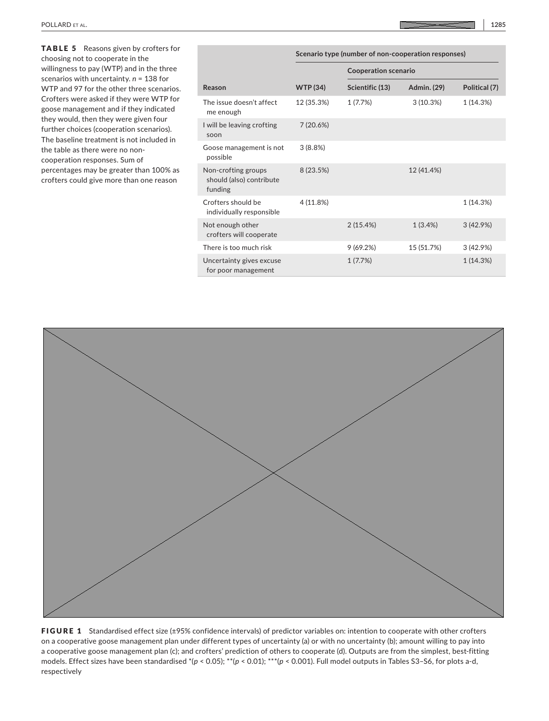TABLE 5 Reasons given by crofters for choosing not to cooperate in the willingness to pay (WTP) and in the three scenarios with uncertainty. *n* = 138 for WTP and 97 for the other three scenarios. Crofters were asked if they were WTP for goose management and if they indicated they would, then they were given four further choices (cooperation scenarios). The baseline treatment is not included in the table as there were no noncooperation responses. Sum of percentages may be greater than 100% as crofters could give more than one reason

|                                                            | Scenario type (number of non-cooperation responses) |                             |             |               |
|------------------------------------------------------------|-----------------------------------------------------|-----------------------------|-------------|---------------|
|                                                            |                                                     | <b>Cooperation scenario</b> |             |               |
| Reason                                                     | <b>WTP (34)</b>                                     | Scientific (13)             | Admin. (29) | Political (7) |
| The issue doesn't affect<br>me enough                      | 12 (35.3%)                                          | 1(7.7%)                     | 3(10.3%)    | 1 (14.3%)     |
| I will be leaving crofting<br>soon                         | 7(20.6%)                                            |                             |             |               |
| Goose management is not<br>possible                        | 3(8.8%)                                             |                             |             |               |
| Non-crofting groups<br>should (also) contribute<br>funding | 8 (23.5%)                                           |                             | 12 (41.4%)  |               |
| Crofters should be<br>individually responsible             | 4(11.8%)                                            |                             |             | 1 (14.3%)     |
| Not enough other<br>crofters will cooperate                |                                                     | 2(15.4%)                    | 1(3.4%)     | 3(42.9%)      |
| There is too much risk                                     |                                                     | 9(69.2%)                    | 15 (51.7%)  | 3(42.9%)      |
| Uncertainty gives excuse<br>for poor management            |                                                     | 1(7.7%)                     |             | 1(14.3%)      |



FIGURE 1 Standardised effect size (±95% confidence intervals) of predictor variables on: intention to cooperate with other crofters on a cooperative goose management plan under different types of uncertainty (a) or with no uncertainty (b); amount willing to pay into a cooperative goose management plan (c); and crofters' prediction of others to cooperate (d). Outputs are from the simplest, best-fitting models. Effect sizes have been standardised \*( $p < 0.05$ ); \*\*( $p < 0.01$ ); \*\*\*( $p < 0.001$ ). Full model outputs in Tables S3-S6, for plots a-d, respectively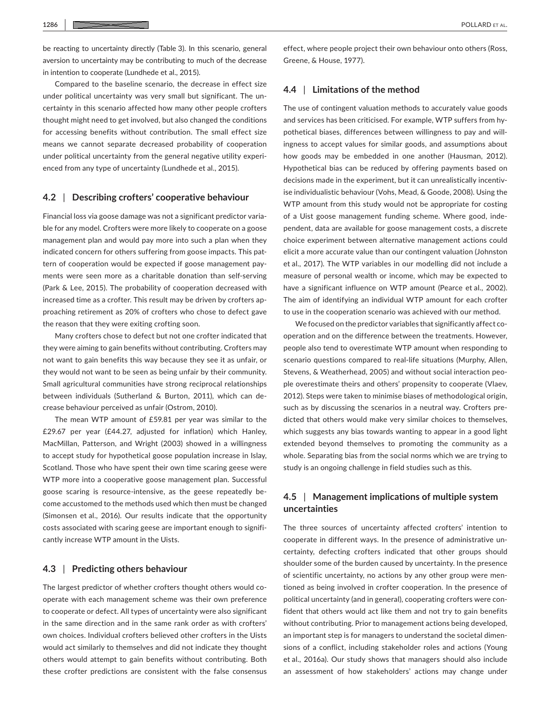be reacting to uncertainty directly (Table 3). In this scenario, general aversion to uncertainty may be contributing to much of the decrease in intention to cooperate (Lundhede et al., 2015).

Compared to the baseline scenario, the decrease in effect size under political uncertainty was very small but significant. The uncertainty in this scenario affected how many other people crofters thought might need to get involved, but also changed the conditions for accessing benefits without contribution. The small effect size means we cannot separate decreased probability of cooperation under political uncertainty from the general negative utility experienced from any type of uncertainty (Lundhede et al., 2015).

## **4.2** | **Describing crofters' cooperative behaviour**

Financial loss via goose damage was not a significant predictor variable for any model. Crofters were more likely to cooperate on a goose management plan and would pay more into such a plan when they indicated concern for others suffering from goose impacts. This pattern of cooperation would be expected if goose management payments were seen more as a charitable donation than self-serving (Park & Lee, 2015). The probability of cooperation decreased with increased time as a crofter. This result may be driven by crofters approaching retirement as 20% of crofters who chose to defect gave the reason that they were exiting crofting soon.

Many crofters chose to defect but not one crofter indicated that they were aiming to gain benefits without contributing. Crofters may not want to gain benefits this way because they see it as unfair, or they would not want to be seen as being unfair by their community. Small agricultural communities have strong reciprocal relationships between individuals (Sutherland & Burton, 2011), which can decrease behaviour perceived as unfair (Ostrom, 2010).

The mean WTP amount of £59.81 per year was similar to the £29.67 per year (£44.27, adjusted for inflation) which Hanley, MacMillan, Patterson, and Wright (2003) showed in a willingness to accept study for hypothetical goose population increase in Islay, Scotland. Those who have spent their own time scaring geese were WTP more into a cooperative goose management plan. Successful goose scaring is resource-intensive, as the geese repeatedly become accustomed to the methods used which then must be changed (Simonsen et al., 2016). Our results indicate that the opportunity costs associated with scaring geese are important enough to significantly increase WTP amount in the Uists.

## **4.3** | **Predicting others behaviour**

The largest predictor of whether crofters thought others would cooperate with each management scheme was their own preference to cooperate or defect. All types of uncertainty were also significant in the same direction and in the same rank order as with crofters' own choices. Individual crofters believed other crofters in the Uists would act similarly to themselves and did not indicate they thought others would attempt to gain benefits without contributing. Both these crofter predictions are consistent with the false consensus

effect, where people project their own behaviour onto others (Ross, Greene, & House, 1977).

## **4.4** | **Limitations of the method**

The use of contingent valuation methods to accurately value goods and services has been criticised. For example, WTP suffers from hypothetical biases, differences between willingness to pay and willingness to accept values for similar goods, and assumptions about how goods may be embedded in one another (Hausman, 2012). Hypothetical bias can be reduced by offering payments based on decisions made in the experiment, but it can unrealistically incentivise individualistic behaviour (Vohs, Mead, & Goode, 2008). Using the WTP amount from this study would not be appropriate for costing of a Uist goose management funding scheme. Where good, independent, data are available for goose management costs, a discrete choice experiment between alternative management actions could elicit a more accurate value than our contingent valuation (Johnston et al., 2017). The WTP variables in our modelling did not include a measure of personal wealth or income, which may be expected to have a significant influence on WTP amount (Pearce et al., 2002). The aim of identifying an individual WTP amount for each crofter to use in the cooperation scenario was achieved with our method.

We focused on the predictor variables that significantly affect cooperation and on the difference between the treatments. However, people also tend to overestimate WTP amount when responding to scenario questions compared to real-life situations (Murphy, Allen, Stevens, & Weatherhead, 2005) and without social interaction people overestimate theirs and others' propensity to cooperate (Vlaev, 2012). Steps were taken to minimise biases of methodological origin, such as by discussing the scenarios in a neutral way. Crofters predicted that others would make very similar choices to themselves, which suggests any bias towards wanting to appear in a good light extended beyond themselves to promoting the community as a whole. Separating bias from the social norms which we are trying to study is an ongoing challenge in field studies such as this.

# **4.5** | **Management implications of multiple system uncertainties**

The three sources of uncertainty affected crofters' intention to cooperate in different ways. In the presence of administrative uncertainty, defecting crofters indicated that other groups should shoulder some of the burden caused by uncertainty. In the presence of scientific uncertainty, no actions by any other group were mentioned as being involved in crofter cooperation. In the presence of political uncertainty (and in general), cooperating crofters were confident that others would act like them and not try to gain benefits without contributing. Prior to management actions being developed, an important step is for managers to understand the societal dimensions of a conflict, including stakeholder roles and actions (Young et al., 2016a). Our study shows that managers should also include an assessment of how stakeholders' actions may change under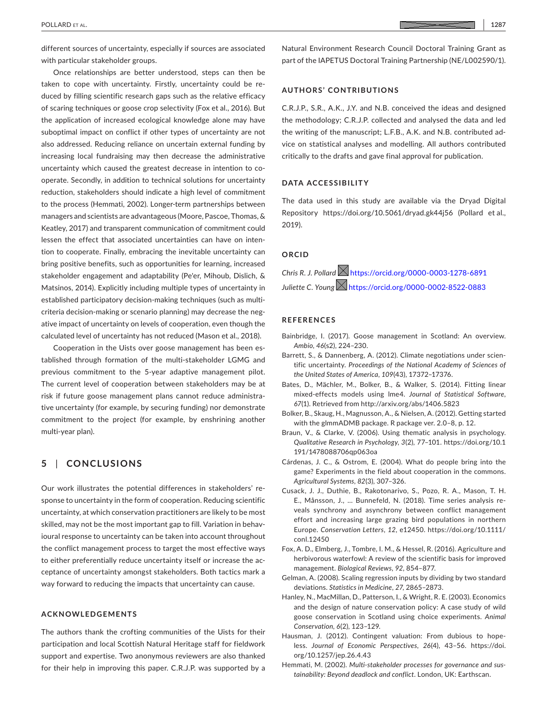different sources of uncertainty, especially if sources are associated with particular stakeholder groups.

Once relationships are better understood, steps can then be taken to cope with uncertainty. Firstly, uncertainty could be reduced by filling scientific research gaps such as the relative efficacy of scaring techniques or goose crop selectivity (Fox et al., 2016). But the application of increased ecological knowledge alone may have suboptimal impact on conflict if other types of uncertainty are not also addressed. Reducing reliance on uncertain external funding by increasing local fundraising may then decrease the administrative uncertainty which caused the greatest decrease in intention to cooperate. Secondly, in addition to technical solutions for uncertainty reduction, stakeholders should indicate a high level of commitment to the process (Hemmati, 2002). Longer-term partnerships between managers and scientists are advantageous (Moore, Pascoe, Thomas, & Keatley, 2017) and transparent communication of commitment could lessen the effect that associated uncertainties can have on intention to cooperate. Finally, embracing the inevitable uncertainty can bring positive benefits, such as opportunities for learning, increased stakeholder engagement and adaptability (Pe'er, Mihoub, Dislich, & Matsinos, 2014). Explicitly including multiple types of uncertainty in established participatory decision-making techniques (such as multicriteria decision-making or scenario planning) may decrease the negative impact of uncertainty on levels of cooperation, even though the calculated level of uncertainty has not reduced (Mason et al., 2018).

Cooperation in the Uists over goose management has been established through formation of the multi-stakeholder LGMG and previous commitment to the 5-year adaptive management pilot. The current level of cooperation between stakeholders may be at risk if future goose management plans cannot reduce administrative uncertainty (for example, by securing funding) nor demonstrate commitment to the project (for example, by enshrining another multi-year plan).

# **5** | **CONCLUSIONS**

Our work illustrates the potential differences in stakeholders' response to uncertainty in the form of cooperation. Reducing scientific uncertainty, at which conservation practitioners are likely to be most skilled, may not be the most important gap to fill. Variation in behavioural response to uncertainty can be taken into account throughout the conflict management process to target the most effective ways to either preferentially reduce uncertainty itself or increase the acceptance of uncertainty amongst stakeholders. Both tactics mark a way forward to reducing the impacts that uncertainty can cause.

## **ACKNOWLEDGEMENTS**

The authors thank the crofting communities of the Uists for their participation and local Scottish Natural Heritage staff for fieldwork support and expertise. Two anonymous reviewers are also thanked for their help in improving this paper. C.R.J.P. was supported by a

Natural Environment Research Council Doctoral Training Grant as part of the IAPETUS Doctoral Training Partnership (NE/L002590/1).

#### **AUTHORS' CONTRIBUTIONS**

C.R.J.P., S.R., A.K., J.Y. and N.B. conceived the ideas and designed the methodology; C.R.J.P. collected and analysed the data and led the writing of the manuscript; L.F.B., A.K. and N.B. contributed advice on statistical analyses and modelling. All authors contributed critically to the drafts and gave final approval for publication.

#### **DATA ACCESSIBILITY**

The data used in this study are available via the Dryad Digital Repository <https://doi.org/10.5061/dryad.gk44j56> (Pollard et al., 2019).

## **ORCID**

*Chris R. J. Pollard* <https://orcid.org/0000-0003-1278-6891> *Juliette C. Young A<https://orcid.org/0000-0002-8522-0883>* 

#### **REFERENCES**

- Bainbridge, I. (2017). Goose management in Scotland: An overview. *Ambio*, *46*(s2), 224–230.
- Barrett, S., & Dannenberg, A. (2012). Climate negotiations under scientific uncertainty. *Proceedings of the National Academy of Sciences of the United States of America*, *109*(43), 17372–17376.
- Bates, D., Mächler, M., Bolker, B., & Walker, S. (2014). Fitting linear mixed-effects models using lme4. *Journal of Statistical Software*, *67*(1). Retrieved from <http://arxiv.org/abs/1406.5823>
- Bolker, B., Skaug, H., Magnusson, A., & Nielsen, A. (2012). Getting started with the glmmADMB package. R package ver. 2.0–8, p. 12.
- Braun, V., & Clarke, V. (2006). Using thematic analysis in psychology. *Qualitative Research in Psychology*, *3*(2), 77–101. [https://doi.org/10.1](https://doi.org/10.1191/1478088706qp063oa) [191/1478088706qp063oa](https://doi.org/10.1191/1478088706qp063oa)
- Cárdenas, J. C., & Ostrom, E. (2004). What do people bring into the game? Experiments in the field about cooperation in the commons. *Agricultural Systems*, *82*(3), 307–326.
- Cusack, J. J., Duthie, B., Rakotonarivo, S., Pozo, R. A., Mason, T. H. E., Månsson, J., … Bunnefeld, N. (2018). Time series analysis reveals synchrony and asynchrony between conflict management effort and increasing large grazing bird populations in northern Europe. *Conservation Letters*, *12*, e12450. [https://doi.org/10.1111/](https://doi.org/10.1111/conl.12450) [conl.12450](https://doi.org/10.1111/conl.12450)
- Fox, A. D., Elmberg, J., Tombre, I. M., & Hessel, R. (2016). Agriculture and herbivorous waterfowl: A review of the scientific basis for improved management. *Biological Reviews*, *92*, 854–877.
- Gelman, A. (2008). Scaling regression inputs by dividing by two standard deviations. *Statistics in Medicine*, *27*, 2865–2873.
- Hanley, N., MacMillan, D., Patterson, I., & Wright, R. E. (2003). Economics and the design of nature conservation policy: A case study of wild goose conservation in Scotland using choice experiments. *Animal Conservation*, *6*(2), 123–129.
- Hausman, J. (2012). Contingent valuation: From dubious to hopeless. *Journal of Economic Perspectives*, *26*(4), 43–56. [https://doi.](https://doi.org/10.1257/jep.26.4.43) [org/10.1257/jep.26.4.43](https://doi.org/10.1257/jep.26.4.43)
- Hemmati, M. (2002). *Multi-stakeholder processes for governance and sustainability: Beyond deadlock and conflict*. London, UK: Earthscan.